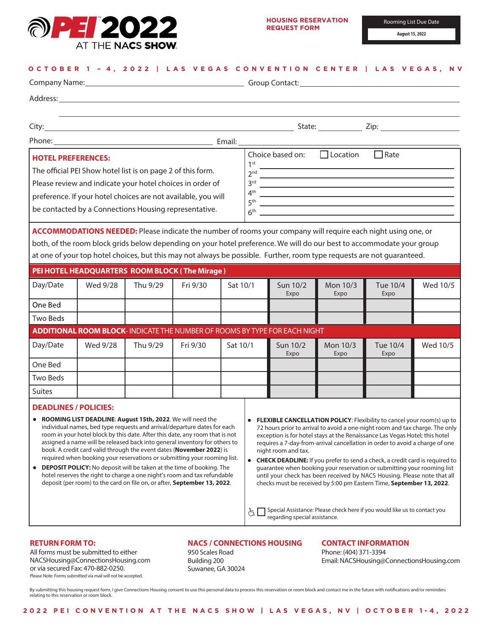

**August 15, 2022**

#### **OCTOBER 1 – 4 , 202 2 | LAS VEGAS CONVENTION CENTER | LAS VEGAS, NV**

| Company Name: 1990 Mame: 2008 Manual Company Name: 2008 Manual Company Name: 2008 Manual Company Name: 2008 Ma                                                                                                                                                                                                                                                                                                                                                                                                                                                                                                                                                                                                                                                                                                                                                                                                                                                                                                                                                                                                                                                                                                                                                                                                                                                                                                                                                                                                                                   |                                                                                                                                                                                                                                                 |          |          |                                                                                                                                                                                                                                                                                                                                                                                                                                 |  |                  |                  |                  |          |
|--------------------------------------------------------------------------------------------------------------------------------------------------------------------------------------------------------------------------------------------------------------------------------------------------------------------------------------------------------------------------------------------------------------------------------------------------------------------------------------------------------------------------------------------------------------------------------------------------------------------------------------------------------------------------------------------------------------------------------------------------------------------------------------------------------------------------------------------------------------------------------------------------------------------------------------------------------------------------------------------------------------------------------------------------------------------------------------------------------------------------------------------------------------------------------------------------------------------------------------------------------------------------------------------------------------------------------------------------------------------------------------------------------------------------------------------------------------------------------------------------------------------------------------------------|-------------------------------------------------------------------------------------------------------------------------------------------------------------------------------------------------------------------------------------------------|----------|----------|---------------------------------------------------------------------------------------------------------------------------------------------------------------------------------------------------------------------------------------------------------------------------------------------------------------------------------------------------------------------------------------------------------------------------------|--|------------------|------------------|------------------|----------|
|                                                                                                                                                                                                                                                                                                                                                                                                                                                                                                                                                                                                                                                                                                                                                                                                                                                                                                                                                                                                                                                                                                                                                                                                                                                                                                                                                                                                                                                                                                                                                  | Address: <u>Address:</u> Address: Address: Address: Address: Address: Address: Address: Address: Address: Address: Address: Address: Address: Address: Address: Address: Address: Address: Address: Address: Address: Address: Addr             |          |          |                                                                                                                                                                                                                                                                                                                                                                                                                                 |  |                  |                  |                  |          |
|                                                                                                                                                                                                                                                                                                                                                                                                                                                                                                                                                                                                                                                                                                                                                                                                                                                                                                                                                                                                                                                                                                                                                                                                                                                                                                                                                                                                                                                                                                                                                  |                                                                                                                                                                                                                                                 |          |          |                                                                                                                                                                                                                                                                                                                                                                                                                                 |  |                  |                  |                  |          |
|                                                                                                                                                                                                                                                                                                                                                                                                                                                                                                                                                                                                                                                                                                                                                                                                                                                                                                                                                                                                                                                                                                                                                                                                                                                                                                                                                                                                                                                                                                                                                  |                                                                                                                                                                                                                                                 |          |          |                                                                                                                                                                                                                                                                                                                                                                                                                                 |  |                  |                  |                  |          |
|                                                                                                                                                                                                                                                                                                                                                                                                                                                                                                                                                                                                                                                                                                                                                                                                                                                                                                                                                                                                                                                                                                                                                                                                                                                                                                                                                                                                                                                                                                                                                  | Phone: Email:                                                                                                                                                                                                                                   |          |          |                                                                                                                                                                                                                                                                                                                                                                                                                                 |  |                  |                  |                  |          |
| <b>HOTEL PREFERENCES:</b><br>The official PEI Show hotel list is on page 2 of this form.<br>Please review and indicate your hotel choices in order of<br>preference. If your hotel choices are not available, you will<br>be contacted by a Connections Housing representative.                                                                                                                                                                                                                                                                                                                                                                                                                                                                                                                                                                                                                                                                                                                                                                                                                                                                                                                                                                                                                                                                                                                                                                                                                                                                  |                                                                                                                                                                                                                                                 |          |          | Choice based on: $\Box$ Location<br>$\Box$ Rate<br>1 <sup>st</sup><br>2 <sup>nd</sup><br>$4th$ and $4th$ and $4th$ and $4th$ and $4th$ and $4th$ and $4th$ and $4th$ and $4th$ and $4th$ and $4th$ and $4th$ and $4th$ and $4th$ and $4th$<br>6 <sup>th</sup><br><u> 1989 - Andrea Andrew Maria (h. 1989).</u><br>ACCOMMODATIONS NEEDED: Please indicate the number of rooms your company will require each night using one, or |  |                  |                  |                  |          |
|                                                                                                                                                                                                                                                                                                                                                                                                                                                                                                                                                                                                                                                                                                                                                                                                                                                                                                                                                                                                                                                                                                                                                                                                                                                                                                                                                                                                                                                                                                                                                  | both, of the room block grids below depending on your hotel preference. We will do our best to accommodate your group<br>at one of your top hotel choices, but this may not always be possible. Further, room type requests are not guaranteed. |          |          |                                                                                                                                                                                                                                                                                                                                                                                                                                 |  |                  |                  |                  |          |
|                                                                                                                                                                                                                                                                                                                                                                                                                                                                                                                                                                                                                                                                                                                                                                                                                                                                                                                                                                                                                                                                                                                                                                                                                                                                                                                                                                                                                                                                                                                                                  | PEI HOTEL HEADQUARTERS ROOM BLOCK (The Mirage)                                                                                                                                                                                                  |          |          |                                                                                                                                                                                                                                                                                                                                                                                                                                 |  |                  |                  |                  |          |
| Day/Date                                                                                                                                                                                                                                                                                                                                                                                                                                                                                                                                                                                                                                                                                                                                                                                                                                                                                                                                                                                                                                                                                                                                                                                                                                                                                                                                                                                                                                                                                                                                         | Wed 9/28                                                                                                                                                                                                                                        | Thu 9/29 | Fri 9/30 | Sat 10/1                                                                                                                                                                                                                                                                                                                                                                                                                        |  | Sun 10/2<br>Expo | Mon 10/3<br>Expo | Tue 10/4<br>Expo | Wed 10/5 |
| One Bed                                                                                                                                                                                                                                                                                                                                                                                                                                                                                                                                                                                                                                                                                                                                                                                                                                                                                                                                                                                                                                                                                                                                                                                                                                                                                                                                                                                                                                                                                                                                          |                                                                                                                                                                                                                                                 |          |          |                                                                                                                                                                                                                                                                                                                                                                                                                                 |  |                  |                  |                  |          |
| <b>Two Beds</b>                                                                                                                                                                                                                                                                                                                                                                                                                                                                                                                                                                                                                                                                                                                                                                                                                                                                                                                                                                                                                                                                                                                                                                                                                                                                                                                                                                                                                                                                                                                                  |                                                                                                                                                                                                                                                 |          |          |                                                                                                                                                                                                                                                                                                                                                                                                                                 |  |                  |                  |                  |          |
|                                                                                                                                                                                                                                                                                                                                                                                                                                                                                                                                                                                                                                                                                                                                                                                                                                                                                                                                                                                                                                                                                                                                                                                                                                                                                                                                                                                                                                                                                                                                                  | <b>ADDITIONAL ROOM BLOCK-INDICATE THE NUMBER OF ROOMS BY TYPE FOR EACH NIGHT</b>                                                                                                                                                                |          |          |                                                                                                                                                                                                                                                                                                                                                                                                                                 |  |                  |                  |                  |          |
| Day/Date                                                                                                                                                                                                                                                                                                                                                                                                                                                                                                                                                                                                                                                                                                                                                                                                                                                                                                                                                                                                                                                                                                                                                                                                                                                                                                                                                                                                                                                                                                                                         | Wed 9/28                                                                                                                                                                                                                                        | Thu 9/29 | Fri 9/30 | Sat 10/1                                                                                                                                                                                                                                                                                                                                                                                                                        |  | Sun 10/2<br>Expo | Mon 10/3<br>Expo | Tue 10/4<br>Expo | Wed 10/5 |
| One Bed                                                                                                                                                                                                                                                                                                                                                                                                                                                                                                                                                                                                                                                                                                                                                                                                                                                                                                                                                                                                                                                                                                                                                                                                                                                                                                                                                                                                                                                                                                                                          |                                                                                                                                                                                                                                                 |          |          |                                                                                                                                                                                                                                                                                                                                                                                                                                 |  |                  |                  |                  |          |
| <b>Two Beds</b>                                                                                                                                                                                                                                                                                                                                                                                                                                                                                                                                                                                                                                                                                                                                                                                                                                                                                                                                                                                                                                                                                                                                                                                                                                                                                                                                                                                                                                                                                                                                  |                                                                                                                                                                                                                                                 |          |          |                                                                                                                                                                                                                                                                                                                                                                                                                                 |  |                  |                  |                  |          |
| <b>Suites</b>                                                                                                                                                                                                                                                                                                                                                                                                                                                                                                                                                                                                                                                                                                                                                                                                                                                                                                                                                                                                                                                                                                                                                                                                                                                                                                                                                                                                                                                                                                                                    |                                                                                                                                                                                                                                                 |          |          |                                                                                                                                                                                                                                                                                                                                                                                                                                 |  |                  |                  |                  |          |
| <b>DEADLINES / POLICIES:</b><br>ROOMING LIST DEADLINE: August 15th, 2022. We will need the<br><b>FLEXIBLE CANCELLATION POLICY:</b> Flexibility to cancel your room(s) up to<br>individual names, bed type requests and arrival/departure dates for each<br>72 hours prior to arrival to avoid a one-night room and tax charge. The only<br>room in your hotel block by this date. After this date, any room that is not<br>exception is for hotel stays at the Renaissance Las Vegas Hotel; this hotel<br>assigned a name will be released back into general inventory for others to<br>requires a 7-day-from-arrival cancellation in order to avoid a charge of one<br>book. A credit card valid through the event dates (November 2022) is<br>night room and tax.<br>required when booking your reservations or submitting your rooming list.<br><b>CHECK DEADLINE:</b> If you prefer to send a check, a credit card is required to<br>$\bullet$<br><b>DEPOSIT POLICY:</b> No deposit will be taken at the time of booking. The<br>guarantee when booking your reservation or submitting your rooming list<br>٠<br>hotel reserves the right to charge a one night's room and tax refundable<br>until your check has been received by NACS Housing. Please note that all<br>deposit (per room) to the card on file on, or after, September 13, 2022.<br>checks must be received by 5:00 pm Eastern Time, September 13, 2022.<br>Special Assistance: Please check here if you would like us to contact you<br>à<br>regarding special assistance. |                                                                                                                                                                                                                                                 |          |          |                                                                                                                                                                                                                                                                                                                                                                                                                                 |  |                  |                  |                  |          |

#### Please Note: Forms submitted via mail will not be accepted. All forms must be submitted to either NACSHousing@ConnectionsHousing.com or via secured Fax: 470-882-0250.

### **NACS / CONNECTIONS HOUSING**

950 Scales Road Building 200 Suwanee, GA 30024

# **CONTACT INFORMATION** Phone: (404) 371-3394

Email:NACSHousing@ConnectionsHousing.com

By submitting this housing request form, I give Connections Housing consent to use this personal data to process this reservation or room block and contact me in the future with notifications and/or reminders relating to this reservation or room block.